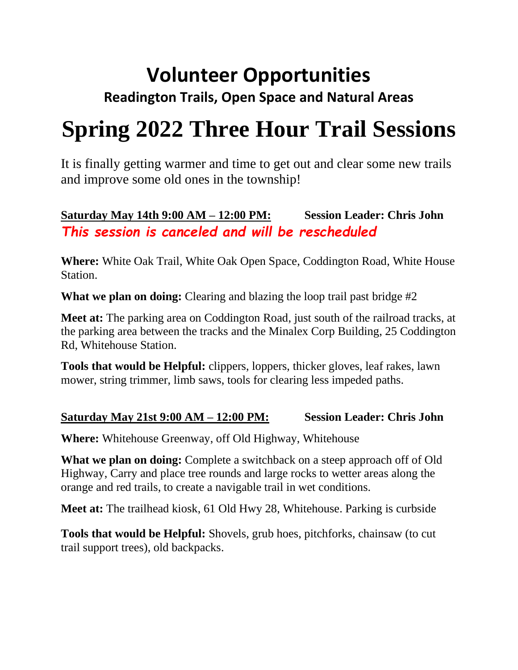## **Volunteer Opportunities**

### **Readington Trails, Open Space and Natural Areas**

# **Spring 2022 Three Hour Trail Sessions**

It is finally getting warmer and time to get out and clear some new trails and improve some old ones in the township!

#### **Saturday May 14th 9:00 AM – 12:00 PM: Session Leader: Chris John** *This session is canceled and will be rescheduled*

**Where:** White Oak Trail, White Oak Open Space, Coddington Road, White House Station.

**What we plan on doing:** Clearing and blazing the loop trail past bridge #2

**Meet at:** The parking area on Coddington Road, just south of the railroad tracks, at the parking area between the tracks and the Minalex Corp Building, 25 Coddington Rd, Whitehouse Station.

**Tools that would be Helpful:** clippers, loppers, thicker gloves, leaf rakes, lawn mower, string trimmer, limb saws, tools for clearing less impeded paths.

#### **Saturday May 21st 9:00 AM – 12:00 PM: Session Leader: Chris John**

**Where:** Whitehouse Greenway, off Old Highway, Whitehouse

**What we plan on doing:** Complete a switchback on a steep approach off of Old Highway, Carry and place tree rounds and large rocks to wetter areas along the orange and red trails, to create a navigable trail in wet conditions.

**Meet at:** The trailhead kiosk, 61 Old Hwy 28, Whitehouse. Parking is curbside

**Tools that would be Helpful:** Shovels, grub hoes, pitchforks, chainsaw (to cut trail support trees), old backpacks.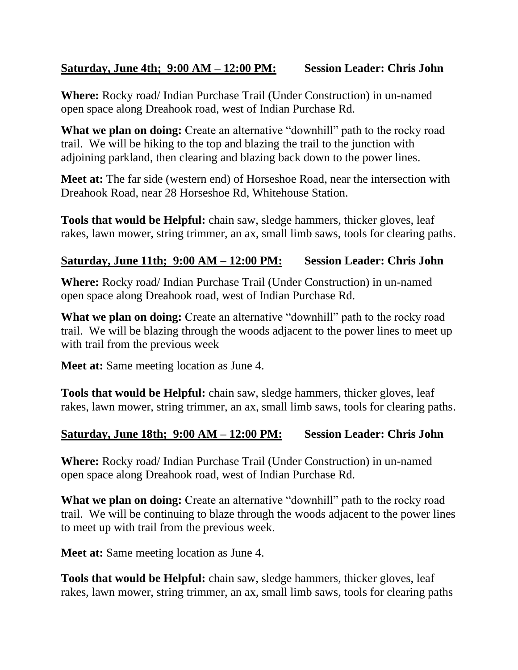#### **Saturday, June 4th; 9:00 AM – 12:00 PM: Session Leader: Chris John**

**Where:** Rocky road/ Indian Purchase Trail (Under Construction) in un-named open space along Dreahook road, west of Indian Purchase Rd.

**What we plan on doing:** Create an alternative "downhill" path to the rocky road trail. We will be hiking to the top and blazing the trail to the junction with adjoining parkland, then clearing and blazing back down to the power lines.

**Meet at:** The far side (western end) of Horseshoe Road, near the intersection with Dreahook Road, near 28 Horseshoe Rd, Whitehouse Station.

**Tools that would be Helpful:** chain saw, sledge hammers, thicker gloves, leaf rakes, lawn mower, string trimmer, an ax, small limb saws, tools for clearing paths.

#### **Saturday, June 11th; 9:00 AM – 12:00 PM: Session Leader: Chris John**

**Where:** Rocky road/ Indian Purchase Trail (Under Construction) in un-named open space along Dreahook road, west of Indian Purchase Rd.

**What we plan on doing:** Create an alternative "downhill" path to the rocky road trail. We will be blazing through the woods adjacent to the power lines to meet up with trail from the previous week

**Meet at:** Same meeting location as June 4.

**Tools that would be Helpful:** chain saw, sledge hammers, thicker gloves, leaf rakes, lawn mower, string trimmer, an ax, small limb saws, tools for clearing paths.

#### **Saturday, June 18th; 9:00 AM – 12:00 PM: Session Leader: Chris John**

**Where:** Rocky road/ Indian Purchase Trail (Under Construction) in un-named open space along Dreahook road, west of Indian Purchase Rd.

**What we plan on doing:** Create an alternative "downhill" path to the rocky road trail. We will be continuing to blaze through the woods adjacent to the power lines to meet up with trail from the previous week.

**Meet at:** Same meeting location as June 4.

**Tools that would be Helpful:** chain saw, sledge hammers, thicker gloves, leaf rakes, lawn mower, string trimmer, an ax, small limb saws, tools for clearing paths